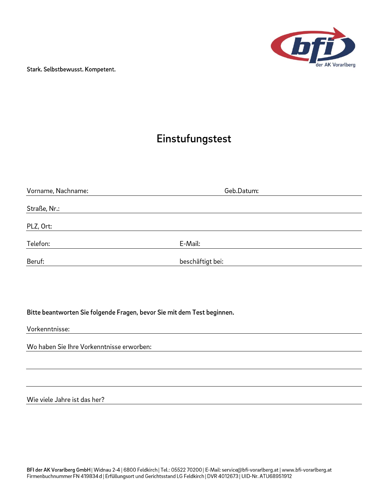Stark. Selbstbewusst. Kompetent.



## Einstufungstest

| Vorname, Nachname: | Geb.Datum:       |  |
|--------------------|------------------|--|
| Straße, Nr.:       |                  |  |
| PLZ, Ort:          |                  |  |
| Telefon:           | E-Mail:          |  |
| Beruf:             | beschäftigt bei: |  |

Bitte beantworten Sie folgende Fragen, bevor Sie mit dem Test beginnen.

Vorkenntnisse:

Wo haben Sie Ihre Vorkenntnisse erworben:

Wie viele Jahre ist das her?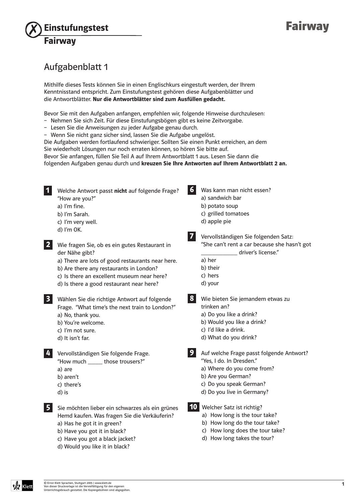# Einstufungstest **Fairway** Fairway

## Aufgabenblatt 1

Mithilfe dieses Tests können Sie in einen Englischkurs eingestuft werden, der Ihrem Kenntnisstand entspricht. Zum Einstufungstest gehören diese Aufgabenblätter und die Antwortblätter. Nur die Antwortblätter sind zum Ausfüllen gedacht.

Bevor Sie mit den Aufgaben anfangen, empfehlen wir, folgende Hinweise durchzulesen:

- Nehmen Sie sich Zeit. Für diese Einstufungsbögen gibt es keine Zeitvorgabe.
- Lesen Sie die Anweisungen zu jeder Aufgabe genau durch.
- Wenn Sie nicht ganz sicher sind, lassen Sie die Aufgabe ungelöst.

Die Aufgaben werden fortlaufend schwieriger. Sollten Sie einen Punkt erreichen, an dem

Sie wiederholt Lösungen nur noch erraten können, so hören Sie bitte auf.

Bevor Sie anfangen, füllen Sie Teil A auf Ihrem Antwortblatt 1 aus. Lesen Sie dann die

folgenden Aufgaben genau durch und kreuzen Sie Ihre Antworten auf Ihrem Antwortblatt 2 an.

| $\mathbf{Z}$            | Welche Antwort passt nicht auf folgende Frage?<br>"How are you?"<br>a) I'm fine.<br>b) I'm Sarah.<br>c) I'm very well.<br>d) I'm OK.<br>Wie fragen Sie, ob es ein gutes Restaurant in<br>der Nähe gibt?<br>a) There are lots of good restaurants near here.<br>b) Are there any restaurants in London?<br>c) Is there an excellent museum near here?<br>d) Is there a good restaurant near here? | 6<br>7 | Was kann man nicht essen?<br>a) sandwich bar<br>b) potato soup<br>c) grilled tomatoes<br>d) apple pie<br>Vervollständigen Sie folgenden Satz:<br>"She can't rent a car because she hasn't got<br>driver's license."<br>a) her<br>b) their<br>c) hers<br>d) your |
|-------------------------|--------------------------------------------------------------------------------------------------------------------------------------------------------------------------------------------------------------------------------------------------------------------------------------------------------------------------------------------------------------------------------------------------|--------|-----------------------------------------------------------------------------------------------------------------------------------------------------------------------------------------------------------------------------------------------------------------|
| $\vert$ 3               | Wählen Sie die richtige Antwort auf folgende<br>Frage. "What time's the next train to London?"<br>a) No, thank you.<br>b) You're welcome.<br>c) I'm not sure.<br>d) It isn't far.                                                                                                                                                                                                                | 8      | Wie bieten Sie jemandem etwas zu<br>trinken an?<br>a) Do you like a drink?<br>b) Would you like a drink?<br>c) I'd like a drink.<br>d) What do you drink?                                                                                                       |
| 4                       | Vervollständigen Sie folgende Frage.<br>"How much _____ those trousers?"<br>a) are<br>b) aren't<br>c) there's<br>d) is                                                                                                                                                                                                                                                                           |        | Auf welche Frage passt folgende Antwort?<br>"Yes, I do. In Dresden."<br>a) Where do you come from?<br>b) Are you German?<br>c) Do you speak German?<br>d) Do you live in Germany?                                                                               |
| $\overline{\mathbf{5}}$ | Sie möchten lieber ein schwarzes als ein grünes<br>Hemd kaufen. Was fragen Sie die Verkäuferin?<br>a) Has he got it in green?<br>b) Have you got it in black?<br>c) Have you got a black jacket?<br>d) Would you like it in black?                                                                                                                                                               |        | 10 Welcher Satz ist richtig?<br>a) How long is the tour take?<br>b) How long do the tour take?<br>c) How long does the tour take?<br>d) How long takes the tour?                                                                                                |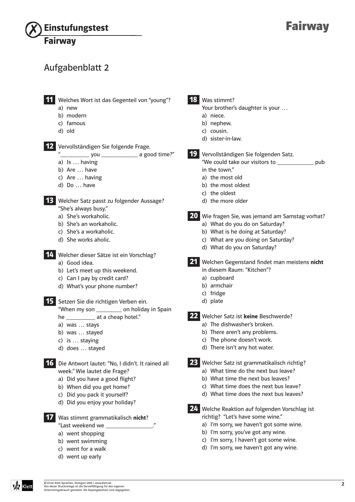

### Aufgabenblatt 2

11 Welches Wort ist das Gegenteil von "young"?

- a) new
- b) modern
- c) famous
- d) old

12 Vervollständigen Sie folgende Frage.

- vou a good time?"
- a) Is … having
- b) Are … have
- c) Are … having
- d) Do … have

13 Welcher Satz passt zu folgender Aussage? "She's always busy."

- a) She's workaholic.
- b) She's an workaholic.
- c) She's a workaholic.
- d) She works aholic.

14 Welcher dieser Sätze ist ein Vorschlag?

- a) Good idea.
- b) Let's meet up this weekend.
- c) Can I pay by credit card?
- d) What's your phone number?

15 Setzen Sie die richtigen Verben ein.

 "When my son \_\_\_\_\_\_\_ on holiday in Spain he at a cheap hotel."

- a) was … stays
- b) was … stayed
- c) is … staying
- d) does … stayed

16 Die Antwort lautet: "No, I didn't. It rained all week." Wie lautet die Frage?

- a) Did you have a good flight?
- b) When did you get home?
- c) Did you pack it yourself?
- d) Did you enjoy your holiday?

### 17 Was stimmt grammatikalisch nicht?

- "Last weekend we
- a) went shopping
- b) went swimming
- c) went for a walk
- d) went up early

18 Was stimmt?

- Your brother's daughter is your …
- a) niece.
- b) nephew.
- c) cousin.
- d) sister-in-law.

Vervollständigen Sie folgenden Satz. "We could take our visitors to \_\_\_\_\_\_\_\_\_\_ pub

- in the town."
- a) the most old
- b) the most oldest
- c) the oldest
- d) the more older

20 Wie fragen Sie, was jemand am Samstag vorhat?

- a) What do you do on Saturday?
- b) What is he doing at Saturday?
- c) What are you doing on Saturday?
- d) What do you on Saturday?
- 21 Welchen Gegenstand findet man meistens nicht in diesem Raum: "Kitchen"?
	- a) cupboard
	- b) armchair
	- c) fridge
	- d) plate
- **22** Welcher Satz ist keine Beschwerde?
	- a) The dishwasher's broken.
	- b) There aren't any problems.
	- c) The phone doesn't work.
	- d) There isn't any hot water.
- 23 Welcher Satz ist grammatikalisch richtig?
	- a) What time do the next bus leave?
	- b) What time the next bus leaves?
	- c) What time does the next bus leave?
	- d) What time does the next bus leaves?

24 Welche Reaktion auf folgenden Vorschlag ist richtig? "Let's have some wine."

- a) I'm sorry, we haven't got some wine.
- b) I'm sorry, you've got any wine.
- c) I'm sorry, I haven't got some wine.
- d) I'm sorry, we haven't got any wine.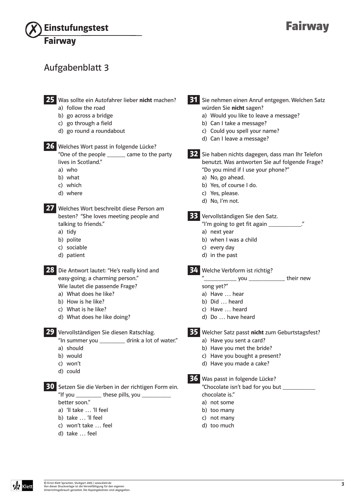

### Aufgabenblatt 3

25 Was sollte ein Autofahrer lieber nicht machen?

- a) follow the road
- b) go across a bridge
- c) go through a field
- d) go round a roundabout
- 26 Welches Wort passt in folgende Lücke? "One of the people \_\_\_\_\_ came to the party lives in Scotland."
	- a) who
	- b) what
	- c) which
	- d) where

27 Welches Wort beschreibt diese Person am besten? "She loves meeting people and talking to friends."

- a) tidy
- b) polite
- c) sociable
- d) patient

**28** Die Antwort lautet: "He's really kind and easy-going; a charming person." Wie lautet die passende Frage?

- a) What does he like?
- b) How is he like?
- c) What is he like?
- d) What does he like doing?

29 Vervollständigen Sie diesen Ratschlag. "In summer you \_\_\_\_\_\_\_ drink a lot of water."

- a) should
- b) would
- c) won't
- d) could

**30** Setzen Sie die Verben in der richtigen Form ein. "If you \_\_\_\_\_\_\_\_\_\_\_\_ these pills, you \_\_ better soon."

- a) 'll take … 'll feel
- b) take … 'll feel
- c) won't take … feel
- d) take … feel
- - **31** Sie nehmen einen Anruf entgegen. Welchen Satz würden Sie nicht sagen?
		- a) Would you like to leave a message?
		- b) Can I take a message?
		- c) Could you spell your name?
		- d) Can I leave a message?

**32** Sie haben nichts dagegen, dass man Ihr Telefon benutzt. Was antworten Sie auf folgende Frage? "Do you mind if I use your phone?"

- a) No, go ahead.
- b) Yes, of course I do.
- c) Yes, please.
- d) No, I'm not.

### 33 Vervollständigen Sie den Satz.

"I'm going to get fit again \_\_\_

- a) next year
- b) when I was a child
- c) every day
- d) in the past

34 Welche Verbform ist richtig?

#### you **their new**

- song yet?"
- a) Have … hear b) Did … heard
- c) Have … heard
- 
- d) Do … have heard

35 Welcher Satz passt nicht zum Geburtstagsfest?

- a) Have you sent a card?
- b) Have you met the bride?
- c) Have you bought a present?
- d) Have you made a cake?
- **36** Was passt in folgende Lücke? "Chocolate isn't bad for you but \_\_\_\_\_\_\_\_\_ chocolate is."
	- a) not some
	- b) too many
	- c) not many
	- d) too much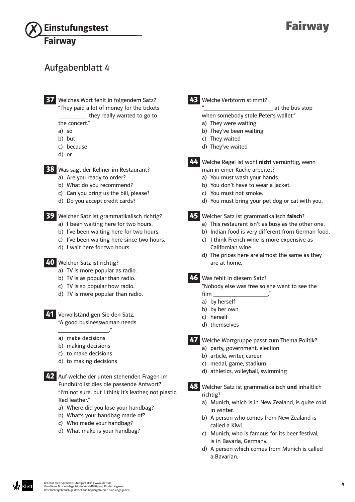

### Aufgabenblatt 4

**37** Welches Wort fehlt in folgendem Satz? "They paid a lot of money for the tickets

they really wanted to go to

- the concert."
- a) so
- b) but
- c) because
- d) or

**38** Was sagt der Kellner im Restaurant?

- a) Are you ready to order?
- b) What do you recommend?
- c) Can you bring us the bill, please?
- d) Do you accept credit cards?

39 Welcher Satz ist grammatikalisch richtig?

- a) I been waiting here for two hours.
- b) I've been waiting here for two hours.
- c) I've been waiting here since two hours.
- d) I wait here for two hours.

40 Welcher Satz ist richtig?

- a) TV is more popular as radio.
- b) TV is as popular than radio.
- c) TV is so popular how radio.
- d) TV is more popular than radio.

41 Vervollständigen Sie den Satz. "A good businesswoman needs

- \_\_\_\_\_\_\_\_\_\_\_\_\_\_." a) make decisions
	- b) making decisions
	- c) to make decisions
	- d) to making decisions

42 Auf welche der unten stehenden Fragen im Fundbüro ist dies die passende Antwort? "I'm not sure, but I think it's leather, not plastic. Red leather."

- a) Where did you lose your handbag?
- b) What's your handbag made of?
- c) Who made your handbag?
- d) What make is your handbag?

#### 43 Welche Verbform stimmt?

- at the bus stop
- when somebody stole Peter's wallet."
- a) They were waiting
- b) They've been waiting
- c) They waited
- d) They've waited
- 44 Welche Regel ist wohl nicht vernünftig, wenn man in einer Küche arbeitet?
	- a) You must wash your hands.
	- b) You don't have to wear a jacket.
	- c) You must not smoke.
	- d) You must bring your pet dog or cat with you.

45 Welcher Satz ist grammatikalisch falsch?

- a) This restaurant isn't as busy as the other one.
- b) Indian food is very different from German food.
- c) I think French wine is more expensive as Californian wine.
- d) The prices here are almost the same as they are at home.
- 

46 Was fehlt in diesem Satz?

"Nobody else was free so she went to see the

- film \_\_\_\_\_\_\_\_\_\_\_\_\_\_\_." a) by herself
- b) by her own
- c) herself
- d) themselves
- 

**47 Welche Wortgruppe passt zum Thema Politik?** 

- a) party, government, election
- b) article, writer, career
- c) medal, game, stadium
- d) athletics, volleyball, swimming

48 Welcher Satz ist grammatikalisch und inhaltlich richtig?

- a) Munich, which is in New Zealand, is quite cold in winter.
- b) A person who comes from New Zealand is called a Kiwi.
- c) Munich, who is famous for its beer festival, is in Bavaria, Germany.
- d) A person which comes from Munich is called a Bavarian.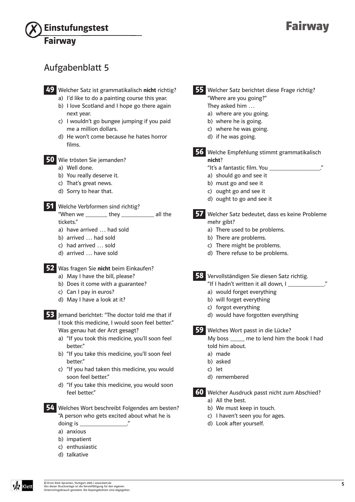## Einstufungstest Fairway

49 Welcher Satz ist grammatikalisch nicht richtig? a) I'd like to do a painting course this year. b) I love Scotland and I hope go there again next year. c) I wouldn't go bungee jumping if you paid me a million dollars. d) He won't come because he hates horror films. 50 Wie trösten Sie jemanden? a) Well done. b) You really deserve it. c) That's great news. d) Sorry to hear that. 51 Welche Verbformen sind richtig? "When we \_\_\_\_\_\_\_ they \_\_\_\_\_\_\_\_\_\_\_ all the tickets." a) have arrived … had sold b) arrived … had sold c) had arrived … sold d) arrived … have sold **52** Was fragen Sie nicht beim Einkaufen? a) May I have the bill, please? b) Does it come with a guarantee? c) Can I pay in euros? d) May I have a look at it? **53** Jemand berichtet: "The doctor told me that if I took this medicine, I would soon feel better." Was genau hat der Arzt gesagt? a) "If you took this medicine, you'll soon feel better." b) "If you take this medicine, you'll soon feel better." c) "If you had taken this medicine, you would soon feel better." d) "If you take this medicine, you would soon feel better." 54 Welches Wort beschreibt Folgendes am besten? "A person who gets excited about what he is doing is \_\_\_\_\_\_\_\_\_\_\_\_\_." a) anxious b) impatient c) enthusiastic d) talkative nicht? c) let Aufgabenblatt 5

**55** Welcher Satz berichtet diese Frage richtig?

"Where are you going?"

They asked him …

- a) where are you going.
- b) where he is going.
- c) where he was going.
- d) if he was going.

56 Welche Empfehlung stimmt grammatikalisch

- "It's a fantastic film. You \_\_\_\_\_\_\_\_\_\_\_\_\_\_."
- a) should go and see it
- b) must go and see it
- c) ought go and see it
- d) ought to go and see it
- 57 Welcher Satz bedeutet, dass es keine Probleme mehr gibt?
	- a) There used to be problems.
	- b) There are problems.
	- c) There might be problems.
	- d) There refuse to be problems.
- 58 Vervollständigen Sie diesen Satz richtig.
	- "If I hadn't written it all down, I
	- a) would forget everything
	- b) will forget everything
	- c) forgot everything
	- d) would have forgotten everything
- 59 Welches Wort passt in die Lücke? My boss \_\_\_\_ me to lend him the book I had told him about.
	- a) made
	- b) asked
	-
	- d) remembered
- 60 Welcher Ausdruck passt nicht zum Abschied?
	- a) All the best.
	- b) We must keep in touch.
	- c) I haven't seen you for ages.
	- d) Look after yourself.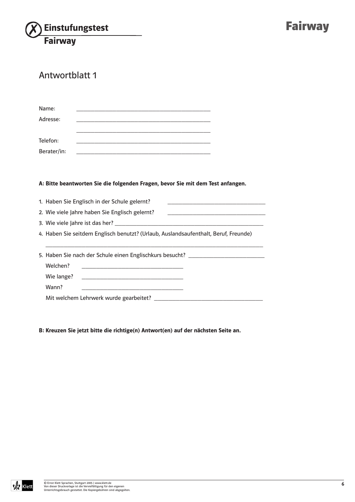

### Antwortblatt 1

| Name:       |  |
|-------------|--|
| Adresse:    |  |
|             |  |
|             |  |
| Telefon:    |  |
| Berater/in: |  |

#### A: Bitte beantworten Sie die folgenden Fragen, bevor Sie mit dem Test anfangen.

- 1. Haben Sie Englisch in der Schule gelernt?
- 2. Wie viele Jahre haben Sie Englisch gelernt?
- 3. Wie viele Jahre ist das her? \_\_\_\_\_\_\_\_\_\_\_\_\_\_\_\_\_\_\_\_\_\_\_\_\_\_\_\_\_\_\_\_\_\_\_\_\_\_\_\_\_
- 4. Haben Sie seitdem Englisch benutzt? (Urlaub, Auslandsaufenthalt, Beruf, Freunde)

|            | 5. Haben Sie nach der Schule einen Englischkurs besucht? _______________________                                                                                                                                              |  |
|------------|-------------------------------------------------------------------------------------------------------------------------------------------------------------------------------------------------------------------------------|--|
| Welchen?   | the control of the control of the control of the control of the control of the control of the control of the control of the control of the control of the control of the control of the control of the control of the control |  |
| Wie lange? |                                                                                                                                                                                                                               |  |
| Wann?      |                                                                                                                                                                                                                               |  |
|            | Mit welchem Lehrwerk wurde gearbeitet?                                                                                                                                                                                        |  |

\_\_\_\_\_\_\_\_\_\_\_\_\_\_\_\_\_\_\_\_\_\_\_\_\_\_\_\_\_\_\_\_\_\_\_\_\_\_\_\_\_\_\_\_\_\_\_\_\_\_\_\_\_\_\_\_\_\_\_\_

#### B: Kreuzen Sie jetzt bitte die richtige(n) Antwort(en) auf der nächsten Seite an.